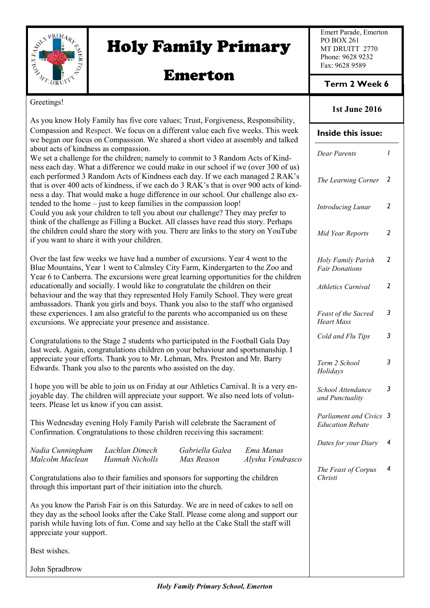

# Holy Family Primary

## Emerton

Emert Parade, Emerton PO BOX 261 MT DRUITT 2770 Phone: 9628 9232 Fax: 9628 9589

#### **Term 2 Week 6**

#### Greetings!

| orovanja:                                                                                                                                                                                                                                                                                                                                                                                                                                                                                                                                                                                                                                                                                                                                       |                                                                                                                                                                                                                                                                     |                               |                               | <b>1st June 2016</b>                               |                |
|-------------------------------------------------------------------------------------------------------------------------------------------------------------------------------------------------------------------------------------------------------------------------------------------------------------------------------------------------------------------------------------------------------------------------------------------------------------------------------------------------------------------------------------------------------------------------------------------------------------------------------------------------------------------------------------------------------------------------------------------------|---------------------------------------------------------------------------------------------------------------------------------------------------------------------------------------------------------------------------------------------------------------------|-------------------------------|-------------------------------|----------------------------------------------------|----------------|
| As you know Holy Family has five core values; Trust, Forgiveness, Responsibility,<br>Compassion and Respect. We focus on a different value each five weeks. This week<br>we began our focus on Compassion. We shared a short video at assembly and talked<br>about acts of kindness as compassion.<br>We set a challenge for the children; namely to commit to 3 Random Acts of Kind-<br>ness each day. What a difference we could make in our school if we (over 300 of us)<br>each performed 3 Random Acts of Kindness each day. If we each managed 2 RAK's<br>that is over 400 acts of kindness, if we each do 3 RAK's that is over 900 acts of kind-<br>ness a day. That would make a huge difference in our school. Our challenge also ex- |                                                                                                                                                                                                                                                                     |                               | Inside this issue:            |                                                    |                |
|                                                                                                                                                                                                                                                                                                                                                                                                                                                                                                                                                                                                                                                                                                                                                 |                                                                                                                                                                                                                                                                     |                               | <b>Dear Parents</b>           | $\mathbf{I}$                                       |                |
|                                                                                                                                                                                                                                                                                                                                                                                                                                                                                                                                                                                                                                                                                                                                                 |                                                                                                                                                                                                                                                                     |                               | The Learning Corner           | $\overline{2}$                                     |                |
| tended to the home – just to keep families in the compassion loop!<br>Could you ask your children to tell you about our challenge? They may prefer to<br>think of the challenge as Filling a Bucket. All classes have read this story. Perhaps<br>the children could share the story with you. There are links to the story on YouTube<br>if you want to share it with your children.                                                                                                                                                                                                                                                                                                                                                           |                                                                                                                                                                                                                                                                     |                               |                               | Introducing Lunar                                  | $\overline{2}$ |
|                                                                                                                                                                                                                                                                                                                                                                                                                                                                                                                                                                                                                                                                                                                                                 |                                                                                                                                                                                                                                                                     |                               |                               | Mid Year Reports                                   | $\overline{2}$ |
| Over the last few weeks we have had a number of excursions. Year 4 went to the<br>Blue Mountains, Year 1 went to Calmsley City Farm, Kindergarten to the Zoo and<br>Year 6 to Canberra. The excursions were great learning opportunities for the children<br>educationally and socially. I would like to congratulate the children on their<br>behaviour and the way that they represented Holy Family School. They were great<br>ambassadors. Thank you girls and boys. Thank you also to the staff who organised                                                                                                                                                                                                                              |                                                                                                                                                                                                                                                                     |                               |                               | Holy Family Parish<br><b>Fair Donations</b>        | $\overline{2}$ |
|                                                                                                                                                                                                                                                                                                                                                                                                                                                                                                                                                                                                                                                                                                                                                 |                                                                                                                                                                                                                                                                     |                               |                               | <b>Athletics Carnival</b>                          | $\overline{2}$ |
| these experiences. I am also grateful to the parents who accompanied us on these<br>excursions. We appreciate your presence and assistance.                                                                                                                                                                                                                                                                                                                                                                                                                                                                                                                                                                                                     |                                                                                                                                                                                                                                                                     |                               |                               | Feast of the Sacred<br><b>Heart Mass</b>           | $\mathfrak{Z}$ |
| Congratulations to the Stage 2 students who participated in the Football Gala Day<br>last week. Again, congratulations children on your behaviour and sportsmanship. I                                                                                                                                                                                                                                                                                                                                                                                                                                                                                                                                                                          |                                                                                                                                                                                                                                                                     |                               |                               | Cold and Flu Tips                                  | 3              |
| appreciate your efforts. Thank you to Mr. Lehman, Mrs. Preston and Mr. Barry<br>Edwards. Thank you also to the parents who assisted on the day.                                                                                                                                                                                                                                                                                                                                                                                                                                                                                                                                                                                                 |                                                                                                                                                                                                                                                                     |                               |                               | Term 2 School<br>Holidays                          | 3              |
| I hope you will be able to join us on Friday at our Athletics Carnival. It is a very en-<br>joyable day. The children will appreciate your support. We also need lots of volun-<br>teers. Please let us know if you can assist.                                                                                                                                                                                                                                                                                                                                                                                                                                                                                                                 |                                                                                                                                                                                                                                                                     |                               |                               | School Attendance<br>and Punctuality               | 3              |
| This Wednesday evening Holy Family Parish will celebrate the Sacrament of<br>Confirmation. Congratulations to those children receiving this sacrament:                                                                                                                                                                                                                                                                                                                                                                                                                                                                                                                                                                                          |                                                                                                                                                                                                                                                                     |                               |                               | Parliament and Civics 3<br><b>Education Rebate</b> |                |
| Nadia Cunningham<br>Malcolm Maclean                                                                                                                                                                                                                                                                                                                                                                                                                                                                                                                                                                                                                                                                                                             | Lachlan Dimech<br><b>Hannah Nicholls</b>                                                                                                                                                                                                                            | Gabriella Galea<br>Max Reason | Ema Manas<br>Alysha Vendrasco | Dates for your Diary                               | 4              |
| Congratulations also to their families and sponsors for supporting the children<br>through this important part of their initiation into the church.                                                                                                                                                                                                                                                                                                                                                                                                                                                                                                                                                                                             |                                                                                                                                                                                                                                                                     |                               |                               | The Feast of Corpus<br>Christi                     | 4              |
| appreciate your support.                                                                                                                                                                                                                                                                                                                                                                                                                                                                                                                                                                                                                                                                                                                        | As you know the Parish Fair is on this Saturday. We are in need of cakes to sell on<br>they day as the school looks after the Cake Stall. Please come along and support our<br>parish while having lots of fun. Come and say hello at the Cake Stall the staff will |                               |                               |                                                    |                |
| Best wishes.                                                                                                                                                                                                                                                                                                                                                                                                                                                                                                                                                                                                                                                                                                                                    |                                                                                                                                                                                                                                                                     |                               |                               |                                                    |                |
| John Spradbrow                                                                                                                                                                                                                                                                                                                                                                                                                                                                                                                                                                                                                                                                                                                                  |                                                                                                                                                                                                                                                                     |                               |                               |                                                    |                |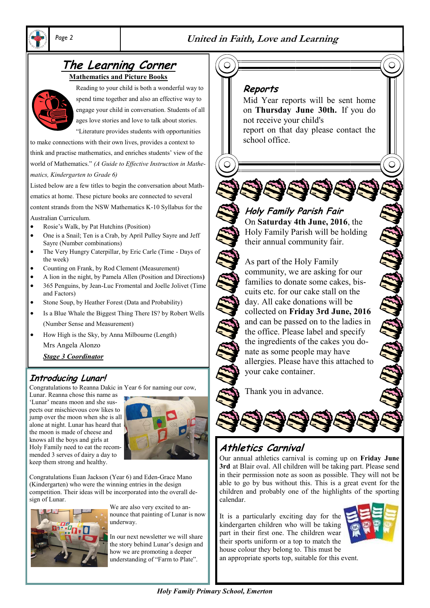

#### *Page 2* **United in Faith, Love and Learning**

## **The Learning Corner**

**Mathematics and Picture Books**



Reading to your child is both a wonderful way to spend time together and also an effective way to engage your child in conversation. Students of all ages love stories and love to talk about stories.

"Literature provides students with opportunities

to make connections with their own lives, provides a context to think and practise mathematics, and enriches students' view of the world of Mathematics." *(A Guide to Effective Instruction in Mathematics, Kindergarten to Grade 6)*

Listed below are a few titles to begin the conversation about Math-

ematics at home. These picture books are connected to several

content strands from the NSW Mathematics K-10 Syllabus for the Australian Curriculum.

- Rosie's Walk, by Pat Hutchins (Position)
- One is a Snail; Ten is a Crab, by April Pulley Sayre and Jeff Sayre (Number combinations)
- The Very Hungry Caterpillar, by Eric Carle (Time Days of the week)
- Counting on Frank, by Rod Clement (Measurement)
- A lion in the night, by Pamela Allen (Position and Directions**)**
- 365 Penguins, by Jean-Luc Fromental and Joelle Jolivet (Time and Factors)
- Stone Soup, by Heather Forest (Data and Probability)
- Is a Blue Whale the Biggest Thing There IS? by Robert Wells (Number Sense and Measurement)
- How High is the Sky, by Anna Milbourne (Length) Mrs Angela Alonzo
	- *Stage 3 Coordinator*

### **Introducing Lunar!**

Congratulations to Reanna Dakic in Year 6 for naming our cow,

Lunar. Reanna chose this name as 'Lunar' means moon and she suspects our mischievous cow likes to jump over the moon when she is all alone at night. Lunar has heard that the moon is made of cheese and knows all the boys and girls at Holy Family need to eat the recommended 3 serves of dairy a day to keep them strong and healthy.



Congratulations Euan Jackson (Year 6) and Eden-Grace Mano (Kindergarten) who were the winning entries in the design competition. Their ideas will be incorporated into the overall design of Lunar.



We are also very excited to announce that painting of Lunar is now underway.

In our next newsletter we will share the story behind Lunar's design and how we are promoting a deeper understanding of "Farm to Plate".

#### **Reports**

Mid Year reports will be sent home on **Thursday June 30th.** If you do not receive your child's report on that day please contact the school office.

 $\overline{C}$ 

## **Holy Family Parish Fair**

On **Saturday 4th June, 2016**, the Holy Family Parish will be holding their annual community fair.

As part of the Holy Family community, we are asking for our families to donate some cakes, biscuits etc. for our cake stall on the day. All cake donations will be collected on **Friday 3rd June, 2016**  and can be passed on to the ladies in the office. Please label and specify the ingredients of the cakes you donate as some people may have allergies. Please have this attached to your cake container.

Thank you in advance.



### **Athletics Carnival**

Our annual athletics carnival is coming up on **Friday June 3rd** at Blair oval. All children will be taking part. Please send in their permission note as soon as possible. They will not be able to go by bus without this. This is a great event for the children and probably one of the highlights of the sporting calendar.

It is a particularly exciting day for the kindergarten children who will be taking part in their first one. The children wear their sports uniform or a top to match the house colour they belong to. This must be an appropriate sports top, suitable for this event.



*Holy Family Primary School, Emerton*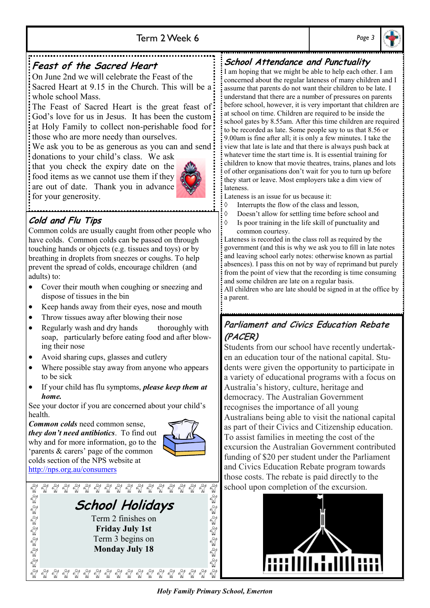#### Term 2 Week 6 *Page 3*



#### **Feast of the Sacred Heart** On June 2nd we will celebrate the Feast of the Sacred Heart at 9.15 in the Church. This will be a

whole school Mass.

The Feast of Sacred Heart is the great feast of God's love for us in Jesus. It has been the custom at Holy Family to collect non-perishable food for: those who are more needy than ourselves.

We ask you to be as generous as you can and send:

donations to your child's class. We ask that you check the expiry date on the food items as we cannot use them if they are out of date. Thank you in advance for your generosity.



#### **Cold and Flu Tips**

Common colds are usually caught from other people who have colds. Common colds can be passed on through touching hands or objects (e.g. tissues and toys) or by breathing in droplets from sneezes or coughs. To help prevent the spread of colds, encourage children (and adults) to:

- Cover their mouth when coughing or sneezing and dispose of tissues in the bin
- Keep hands away from their eyes, nose and mouth
- Throw tissues away after blowing their nose
- Regularly wash and dry hands thoroughly with soap, particularly before eating food and after blowing their nose
- Avoid sharing cups, glasses and cutlery
- Where possible stay away from anyone who appears to be sick
- If your child has flu symptoms, *please keep them at home.*

See your doctor if you are concerned about your child's health.

*Common colds* need common sense, *they don't need antibiotics*. To find out why and for more information, go to the 'parents & carers' page of the common colds section of the NPS website at <http://nps.org.au/consumers>



 $\frac{8}{9}$  $\frac{8}{10}$ ชื 91 91 Egelgege Egelgege **School Holidays**  Term 2 finishes on **Friday July 1st** Term 3 begins on **Monday July 18**

### **School Attendance and Punctuality**

I am hoping that we might be able to help each other. I am concerned about the regular lateness of many children and I assume that parents do not want their children to be late. I understand that there are a number of pressures on parents before school, however, it is very important that children are at school on time. Children are required to be inside the school gates by 8.55am. After this time children are required to be recorded as late. Some people say to us that 8.56 or 9.00am is fine after all; it is only a few minutes. I take the view that late is late and that there is always push back at whatever time the start time is. It is essential training for children to know that movie theatres, trains, planes and lots of other organisations don't wait for you to turn up before they start or leave. Most employers take a dim view of lateness.

Lateness is an issue for us because it:

- $\Diamond$  Interrupts the flow of the class and lesson
- Doesn't allow for settling time before school and
- $\Diamond$  Is poor training in the life skill of punctuality and common courtesy.

Lateness is recorded in the class roll as required by the government (and this is why we ask you to fill in late notes and leaving school early notes: otherwise known as partial absences). I pass this on not by way of reprimand but purely from the point of view that the recording is time consuming and some children are late on a regular basis.

All children who are late should be signed in at the office by a parent.

### **Parliament and Civics Education Rebate (PACER)**

Students from our school have recently undertaken an education tour of the national capital. Students were given the opportunity to participate in a variety of educational programs with a focus on Australia's history, culture, heritage and democracy. The Australian Government recognises the importance of all young Australians being able to visit the national capital as part of their Civics and Citizenship education. To assist families in meeting the cost of the excursion the Australian Government contributed funding of \$20 per student under the Parliament and Civics Education Rebate program towards those costs. The rebate is paid directly to the school upon completion of the excursion.



€

 $\frac{8}{10}$ 

 $\frac{1}{2}$ 

Eg Eg Eg Eg Eg